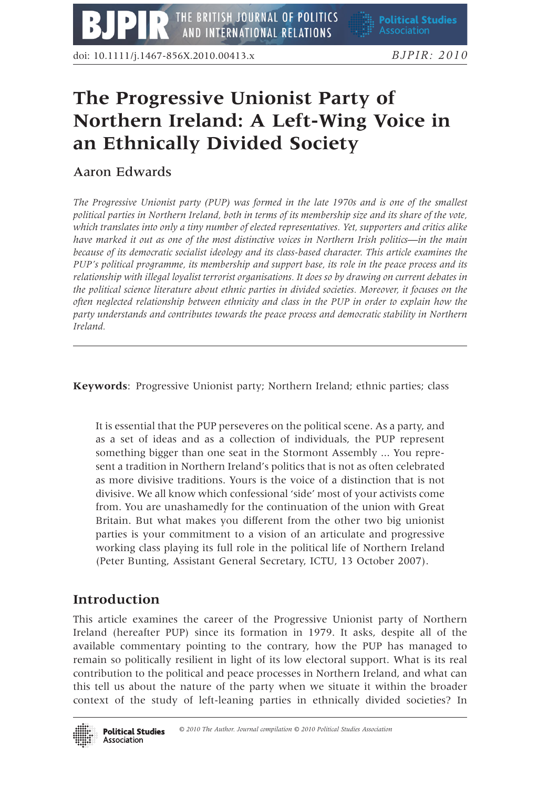**Political Studies** 

doi: 10.1111/j.1467-856X.2010.00413.x *BJPIR: 2010*

# **The Progressive Unionist Party of Northern Ireland: A Left-Wing Voice in an Ethnically Divided Society**

## Aaron Edwards

*The Progressive Unionist party (PUP) was formed in the late 1970s and is one of the smallest political parties in Northern Ireland, both in terms of its membership size and its share of the vote, which translates into only a tiny number of elected representatives. Yet, supporters and critics alike have marked it out as one of the most distinctive voices in Northern Irish politics—in the main because of its democratic socialist ideology and its class-based character. This article examines the PUP's political programme, its membership and support base, its role in the peace process and its relationship with illegal loyalist terrorist organisations. It does so by drawing on current debates in the political science literature about ethnic parties in divided societies. Moreover, it focuses on the often neglected relationship between ethnicity and class in the PUP in order to explain how the party understands and contributes towards the peace process and democratic stability in Northern Ireland.*

**Keywords**: Progressive Unionist party; Northern Ireland; ethnic parties; class

It is essential that the PUP perseveres on the political scene. As a party, and as a set of ideas and as a collection of individuals, the PUP represent something bigger than one seat in the Stormont Assembly ... You represent a tradition in Northern Ireland's politics that is not as often celebrated as more divisive traditions. Yours is the voice of a distinction that is not divisive. We all know which confessional 'side' most of your activists come from. You are unashamedly for the continuation of the union with Great Britain. But what makes you different from the other two big unionist parties is your commitment to a vision of an articulate and progressive working class playing its full role in the political life of Northern Ireland (Peter Bunting, Assistant General Secretary, ICTU, 13 October 2007).

# **Introduction**

This article examines the career of the Progressive Unionist party of Northern Ireland (hereafter PUP) since its formation in 1979. It asks, despite all of the available commentary pointing to the contrary, how the PUP has managed to remain so politically resilient in light of its low electoral support. What is its real contribution to the political and peace processes in Northern Ireland, and what can this tell us about the nature of the party when we situate it within the broader context of the study of left-leaning parties in ethnically divided societies? In

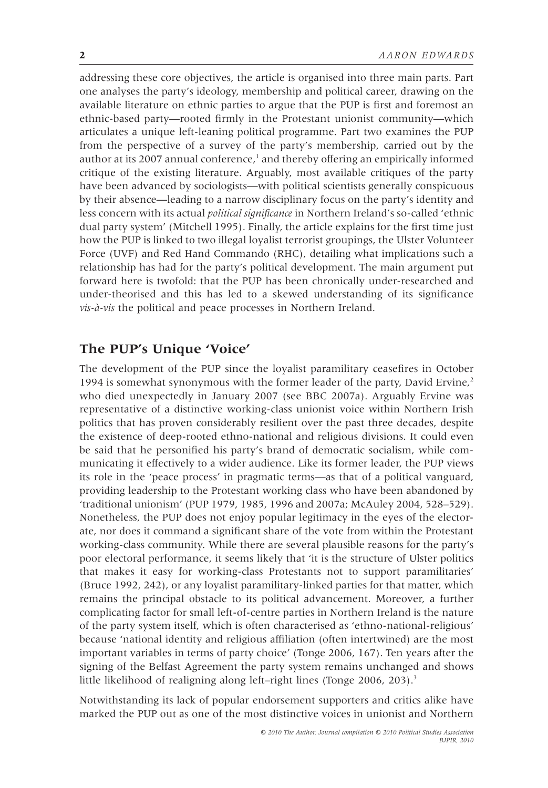addressing these core objectives, the article is organised into three main parts. Part one analyses the party's ideology, membership and political career, drawing on the available literature on ethnic parties to argue that the PUP is first and foremost an ethnic-based party—rooted firmly in the Protestant unionist community—which articulates a unique left-leaning political programme. Part two examines the PUP from the perspective of a survey of the party's membership, carried out by the author at its 2007 annual conference, $\frac{1}{2}$  and thereby offering an empirically informed critique of the existing literature. Arguably, most available critiques of the party have been advanced by sociologists—with political scientists generally conspicuous by their absence—leading to a narrow disciplinary focus on the party's identity and less concern with its actual *political significance* in Northern Ireland's so-called 'ethnic dual party system' (Mitchell 1995). Finally, the article explains for the first time just how the PUP is linked to two illegal loyalist terrorist groupings, the Ulster Volunteer Force (UVF) and Red Hand Commando (RHC), detailing what implications such a relationship has had for the party's political development. The main argument put forward here is twofold: that the PUP has been chronically under-researched and under-theorised and this has led to a skewed understanding of its significance *vis-à-vis* the political and peace processes in Northern Ireland.

### **The PUP's Unique 'Voice'**

The development of the PUP since the loyalist paramilitary ceasefires in October 1994 is somewhat synonymous with the former leader of the party, David Ervine, $^2$ who died unexpectedly in January 2007 (see BBC 2007a). Arguably Ervine was representative of a distinctive working-class unionist voice within Northern Irish politics that has proven considerably resilient over the past three decades, despite the existence of deep-rooted ethno-national and religious divisions. It could even be said that he personified his party's brand of democratic socialism, while communicating it effectively to a wider audience. Like its former leader, the PUP views its role in the 'peace process' in pragmatic terms—as that of a political vanguard, providing leadership to the Protestant working class who have been abandoned by 'traditional unionism' (PUP 1979, 1985, 1996 and 2007a; McAuley 2004, 528–529). Nonetheless, the PUP does not enjoy popular legitimacy in the eyes of the electorate, nor does it command a significant share of the vote from within the Protestant working-class community. While there are several plausible reasons for the party's poor electoral performance, it seems likely that 'it is the structure of Ulster politics that makes it easy for working-class Protestants not to support paramilitaries' (Bruce 1992, 242), or any loyalist paramilitary-linked parties for that matter, which remains the principal obstacle to its political advancement. Moreover, a further complicating factor for small left-of-centre parties in Northern Ireland is the nature of the party system itself, which is often characterised as 'ethno-national-religious' because 'national identity and religious affiliation (often intertwined) are the most important variables in terms of party choice' (Tonge 2006, 167). Ten years after the signing of the Belfast Agreement the party system remains unchanged and shows little likelihood of realigning along left–right lines (Tonge 2006, 203).<sup>3</sup>

Notwithstanding its lack of popular endorsement supporters and critics alike have marked the PUP out as one of the most distinctive voices in unionist and Northern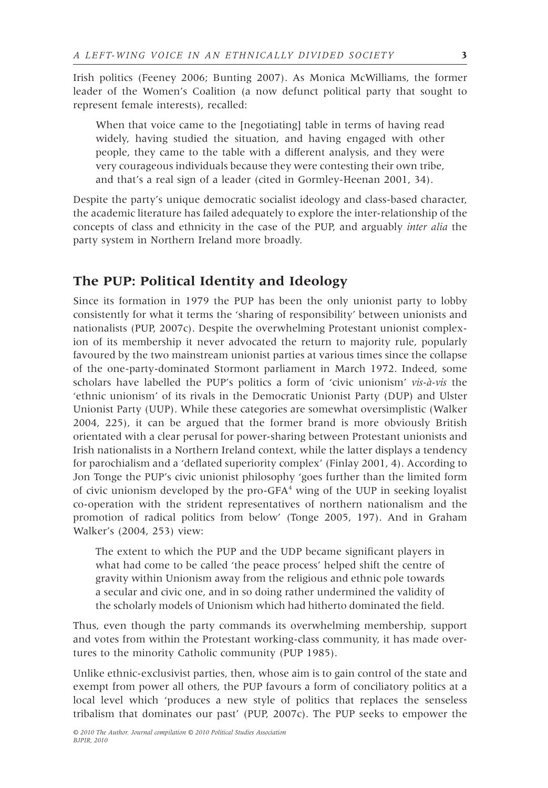Irish politics (Feeney 2006; Bunting 2007). As Monica McWilliams, the former leader of the Women's Coalition (a now defunct political party that sought to represent female interests), recalled:

When that voice came to the [negotiating] table in terms of having read widely, having studied the situation, and having engaged with other people, they came to the table with a different analysis, and they were very courageous individuals because they were contesting their own tribe, and that's a real sign of a leader (cited in Gormley-Heenan 2001, 34).

Despite the party's unique democratic socialist ideology and class-based character, the academic literature has failed adequately to explore the inter-relationship of the concepts of class and ethnicity in the case of the PUP, and arguably *inter alia* the party system in Northern Ireland more broadly.

## **The PUP: Political Identity and Ideology**

Since its formation in 1979 the PUP has been the only unionist party to lobby consistently for what it terms the 'sharing of responsibility' between unionists and nationalists (PUP, 2007c). Despite the overwhelming Protestant unionist complexion of its membership it never advocated the return to majority rule, popularly favoured by the two mainstream unionist parties at various times since the collapse of the one-party-dominated Stormont parliament in March 1972. Indeed, some scholars have labelled the PUP's politics a form of 'civic unionism' *vis-à-vis* the 'ethnic unionism' of its rivals in the Democratic Unionist Party (DUP) and Ulster Unionist Party (UUP). While these categories are somewhat oversimplistic (Walker 2004, 225), it can be argued that the former brand is more obviously British orientated with a clear perusal for power-sharing between Protestant unionists and Irish nationalists in a Northern Ireland context, while the latter displays a tendency for parochialism and a 'deflated superiority complex' (Finlay 2001, 4). According to Jon Tonge the PUP's civic unionist philosophy 'goes further than the limited form of civic unionism developed by the pro-GFA4 wing of the UUP in seeking loyalist co-operation with the strident representatives of northern nationalism and the promotion of radical politics from below' (Tonge 2005, 197). And in Graham Walker's (2004, 253) view:

The extent to which the PUP and the UDP became significant players in what had come to be called 'the peace process' helped shift the centre of gravity within Unionism away from the religious and ethnic pole towards a secular and civic one, and in so doing rather undermined the validity of the scholarly models of Unionism which had hitherto dominated the field.

Thus, even though the party commands its overwhelming membership, support and votes from within the Protestant working-class community, it has made overtures to the minority Catholic community (PUP 1985).

Unlike ethnic-exclusivist parties, then, whose aim is to gain control of the state and exempt from power all others, the PUP favours a form of conciliatory politics at a local level which 'produces a new style of politics that replaces the senseless tribalism that dominates our past' (PUP, 2007c). The PUP seeks to empower the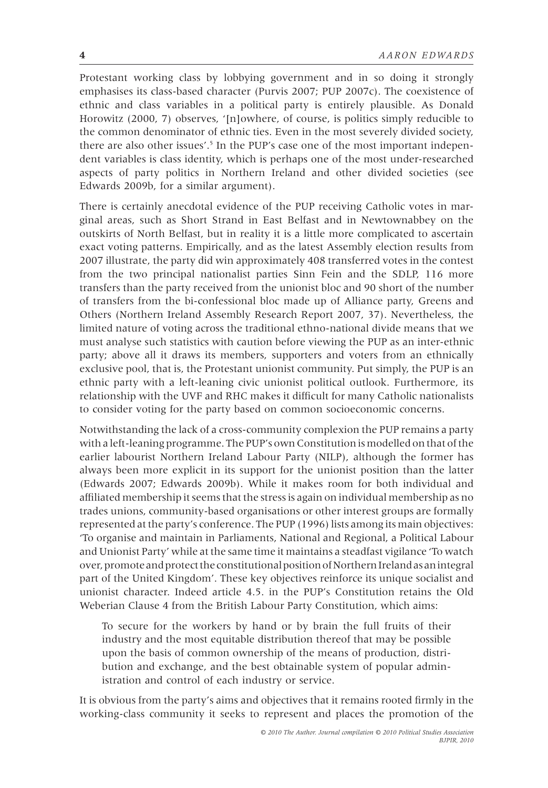Protestant working class by lobbying government and in so doing it strongly emphasises its class-based character (Purvis 2007; PUP 2007c). The coexistence of ethnic and class variables in a political party is entirely plausible. As Donald Horowitz (2000, 7) observes, '[n]owhere, of course, is politics simply reducible to the common denominator of ethnic ties. Even in the most severely divided society, there are also other issues'.<sup>5</sup> In the PUP's case one of the most important independent variables is class identity, which is perhaps one of the most under-researched aspects of party politics in Northern Ireland and other divided societies (see Edwards 2009b, for a similar argument).

There is certainly anecdotal evidence of the PUP receiving Catholic votes in marginal areas, such as Short Strand in East Belfast and in Newtownabbey on the outskirts of North Belfast, but in reality it is a little more complicated to ascertain exact voting patterns. Empirically, and as the latest Assembly election results from 2007 illustrate, the party did win approximately 408 transferred votes in the contest from the two principal nationalist parties Sinn Fein and the SDLP, 116 more transfers than the party received from the unionist bloc and 90 short of the number of transfers from the bi-confessional bloc made up of Alliance party, Greens and Others (Northern Ireland Assembly Research Report 2007, 37). Nevertheless, the limited nature of voting across the traditional ethno-national divide means that we must analyse such statistics with caution before viewing the PUP as an inter-ethnic party; above all it draws its members, supporters and voters from an ethnically exclusive pool, that is, the Protestant unionist community. Put simply, the PUP is an ethnic party with a left-leaning civic unionist political outlook. Furthermore, its relationship with the UVF and RHC makes it difficult for many Catholic nationalists to consider voting for the party based on common socioeconomic concerns.

Notwithstanding the lack of a cross-community complexion the PUP remains a party with a left-leaning programme. The PUP's own Constitution is modelled on that of the earlier labourist Northern Ireland Labour Party (NILP), although the former has always been more explicit in its support for the unionist position than the latter (Edwards 2007; Edwards 2009b). While it makes room for both individual and affiliated membership it seems that the stress is again on individual membership as no trades unions, community-based organisations or other interest groups are formally represented at the party's conference. The PUP (1996) lists among its main objectives: 'To organise and maintain in Parliaments, National and Regional, a Political Labour and Unionist Party' while at the same time it maintains a steadfast vigilance 'To watch over, promote and protect the constitutional position of Northern Ireland as an integral part of the United Kingdom'. These key objectives reinforce its unique socialist and unionist character. Indeed article 4.5. in the PUP's Constitution retains the Old Weberian Clause 4 from the British Labour Party Constitution, which aims:

To secure for the workers by hand or by brain the full fruits of their industry and the most equitable distribution thereof that may be possible upon the basis of common ownership of the means of production, distribution and exchange, and the best obtainable system of popular administration and control of each industry or service.

It is obvious from the party's aims and objectives that it remains rooted firmly in the working-class community it seeks to represent and places the promotion of the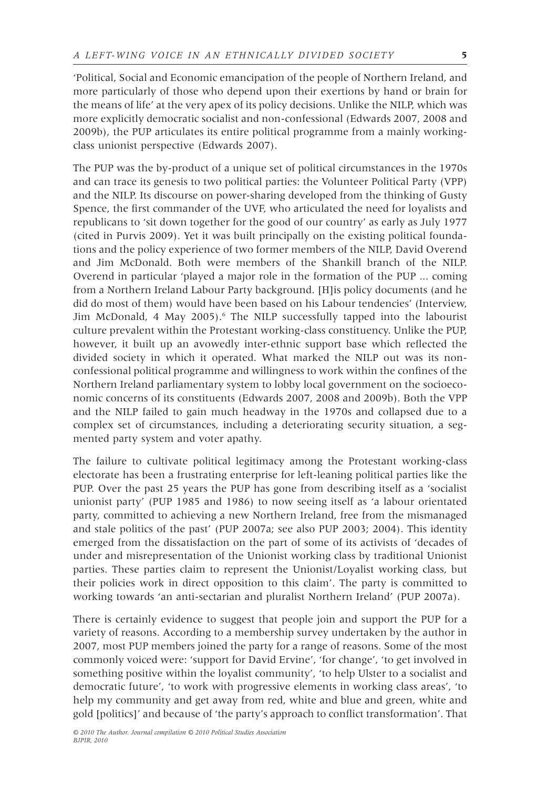'Political, Social and Economic emancipation of the people of Northern Ireland, and more particularly of those who depend upon their exertions by hand or brain for the means of life' at the very apex of its policy decisions. Unlike the NILP, which was more explicitly democratic socialist and non-confessional (Edwards 2007, 2008 and 2009b), the PUP articulates its entire political programme from a mainly workingclass unionist perspective (Edwards 2007).

The PUP was the by-product of a unique set of political circumstances in the 1970s and can trace its genesis to two political parties: the Volunteer Political Party (VPP) and the NILP. Its discourse on power-sharing developed from the thinking of Gusty Spence, the first commander of the UVF, who articulated the need for loyalists and republicans to 'sit down together for the good of our country' as early as July 1977 (cited in Purvis 2009). Yet it was built principally on the existing political foundations and the policy experience of two former members of the NILP, David Overend and Jim McDonald. Both were members of the Shankill branch of the NILP. Overend in particular 'played a major role in the formation of the PUP ... coming from a Northern Ireland Labour Party background. [H]is policy documents (and he did do most of them) would have been based on his Labour tendencies' (Interview, Jim McDonald, 4 May 2005).<sup>6</sup> The NILP successfully tapped into the labourist culture prevalent within the Protestant working-class constituency. Unlike the PUP, however, it built up an avowedly inter-ethnic support base which reflected the divided society in which it operated. What marked the NILP out was its nonconfessional political programme and willingness to work within the confines of the Northern Ireland parliamentary system to lobby local government on the socioeconomic concerns of its constituents (Edwards 2007, 2008 and 2009b). Both the VPP and the NILP failed to gain much headway in the 1970s and collapsed due to a complex set of circumstances, including a deteriorating security situation, a segmented party system and voter apathy.

The failure to cultivate political legitimacy among the Protestant working-class electorate has been a frustrating enterprise for left-leaning political parties like the PUP. Over the past 25 years the PUP has gone from describing itself as a 'socialist unionist party' (PUP 1985 and 1986) to now seeing itself as 'a labour orientated party, committed to achieving a new Northern Ireland, free from the mismanaged and stale politics of the past' (PUP 2007a; see also PUP 2003; 2004). This identity emerged from the dissatisfaction on the part of some of its activists of 'decades of under and misrepresentation of the Unionist working class by traditional Unionist parties. These parties claim to represent the Unionist/Loyalist working class, but their policies work in direct opposition to this claim'. The party is committed to working towards 'an anti-sectarian and pluralist Northern Ireland' (PUP 2007a).

There is certainly evidence to suggest that people join and support the PUP for a variety of reasons. According to a membership survey undertaken by the author in 2007, most PUP members joined the party for a range of reasons. Some of the most commonly voiced were: 'support for David Ervine', 'for change', 'to get involved in something positive within the loyalist community', 'to help Ulster to a socialist and democratic future', 'to work with progressive elements in working class areas', 'to help my community and get away from red, white and blue and green, white and gold [politics]' and because of 'the party's approach to conflict transformation'. That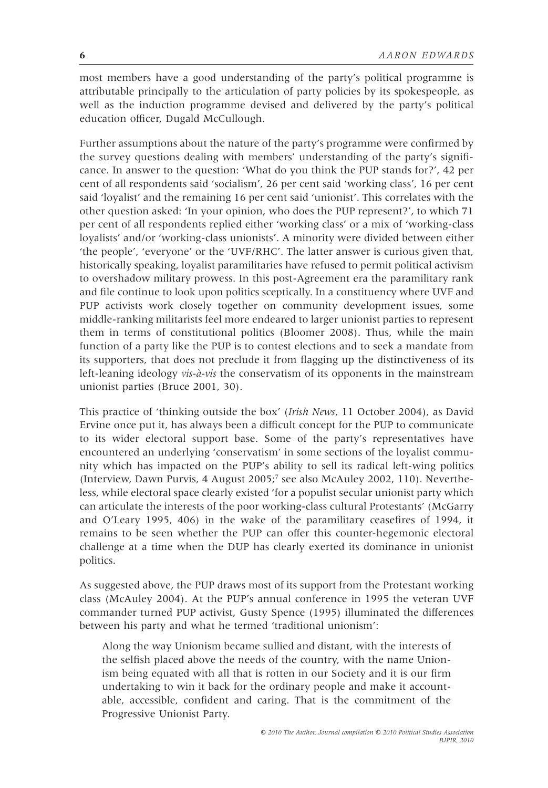most members have a good understanding of the party's political programme is attributable principally to the articulation of party policies by its spokespeople, as well as the induction programme devised and delivered by the party's political education officer, Dugald McCullough.

Further assumptions about the nature of the party's programme were confirmed by the survey questions dealing with members' understanding of the party's significance. In answer to the question: 'What do you think the PUP stands for?', 42 per cent of all respondents said 'socialism', 26 per cent said 'working class', 16 per cent said 'loyalist' and the remaining 16 per cent said 'unionist'. This correlates with the other question asked: 'In your opinion, who does the PUP represent?', to which 71 per cent of all respondents replied either 'working class' or a mix of 'working-class loyalists' and/or 'working-class unionists'. A minority were divided between either 'the people', 'everyone' or the 'UVF/RHC'. The latter answer is curious given that, historically speaking, loyalist paramilitaries have refused to permit political activism to overshadow military prowess. In this post-Agreement era the paramilitary rank and file continue to look upon politics sceptically. In a constituency where UVF and PUP activists work closely together on community development issues, some middle-ranking militarists feel more endeared to larger unionist parties to represent them in terms of constitutional politics (Bloomer 2008). Thus, while the main function of a party like the PUP is to contest elections and to seek a mandate from its supporters, that does not preclude it from flagging up the distinctiveness of its left-leaning ideology *vis-à-vis* the conservatism of its opponents in the mainstream unionist parties (Bruce 2001, 30).

This practice of 'thinking outside the box' (*Irish News*, 11 October 2004), as David Ervine once put it, has always been a difficult concept for the PUP to communicate to its wider electoral support base. Some of the party's representatives have encountered an underlying 'conservatism' in some sections of the loyalist community which has impacted on the PUP's ability to sell its radical left-wing politics (Interview, Dawn Purvis, 4 August 2005;7 see also McAuley 2002, 110). Nevertheless, while electoral space clearly existed 'for a populist secular unionist party which can articulate the interests of the poor working-class cultural Protestants' (McGarry and O'Leary 1995, 406) in the wake of the paramilitary ceasefires of 1994, it remains to be seen whether the PUP can offer this counter-hegemonic electoral challenge at a time when the DUP has clearly exerted its dominance in unionist politics.

As suggested above, the PUP draws most of its support from the Protestant working class (McAuley 2004). At the PUP's annual conference in 1995 the veteran UVF commander turned PUP activist, Gusty Spence (1995) illuminated the differences between his party and what he termed 'traditional unionism':

Along the way Unionism became sullied and distant, with the interests of the selfish placed above the needs of the country, with the name Unionism being equated with all that is rotten in our Society and it is our firm undertaking to win it back for the ordinary people and make it accountable, accessible, confident and caring. That is the commitment of the Progressive Unionist Party.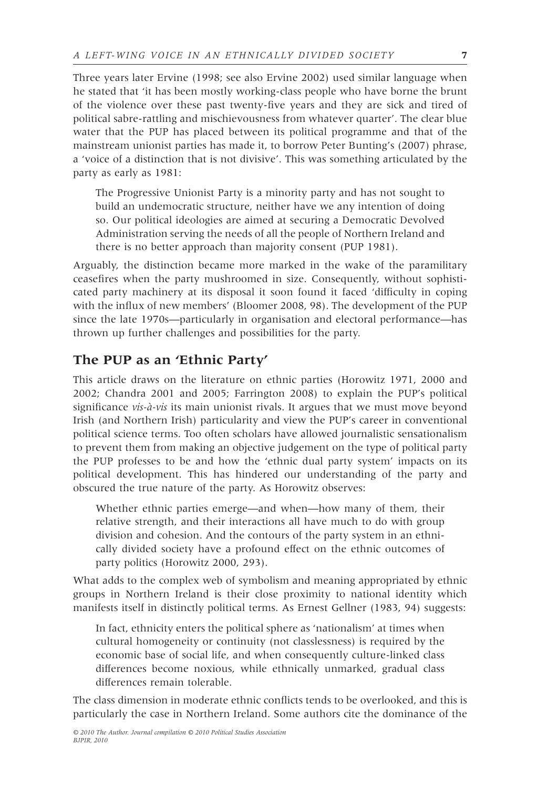Three years later Ervine (1998; see also Ervine 2002) used similar language when he stated that 'it has been mostly working-class people who have borne the brunt of the violence over these past twenty-five years and they are sick and tired of political sabre-rattling and mischievousness from whatever quarter'. The clear blue water that the PUP has placed between its political programme and that of the mainstream unionist parties has made it, to borrow Peter Bunting's (2007) phrase, a 'voice of a distinction that is not divisive'. This was something articulated by the party as early as 1981:

The Progressive Unionist Party is a minority party and has not sought to build an undemocratic structure, neither have we any intention of doing so. Our political ideologies are aimed at securing a Democratic Devolved Administration serving the needs of all the people of Northern Ireland and there is no better approach than majority consent (PUP 1981).

Arguably, the distinction became more marked in the wake of the paramilitary ceasefires when the party mushroomed in size. Consequently, without sophisticated party machinery at its disposal it soon found it faced 'difficulty in coping with the influx of new members' (Bloomer 2008, 98). The development of the PUP since the late 1970s—particularly in organisation and electoral performance—has thrown up further challenges and possibilities for the party.

#### **The PUP as an 'Ethnic Party'**

This article draws on the literature on ethnic parties (Horowitz 1971, 2000 and 2002; Chandra 2001 and 2005; Farrington 2008) to explain the PUP's political significance *vis-à-vis* its main unionist rivals. It argues that we must move beyond Irish (and Northern Irish) particularity and view the PUP's career in conventional political science terms. Too often scholars have allowed journalistic sensationalism to prevent them from making an objective judgement on the type of political party the PUP professes to be and how the 'ethnic dual party system' impacts on its political development. This has hindered our understanding of the party and obscured the true nature of the party. As Horowitz observes:

Whether ethnic parties emerge—and when—how many of them, their relative strength, and their interactions all have much to do with group division and cohesion. And the contours of the party system in an ethnically divided society have a profound effect on the ethnic outcomes of party politics (Horowitz 2000, 293).

What adds to the complex web of symbolism and meaning appropriated by ethnic groups in Northern Ireland is their close proximity to national identity which manifests itself in distinctly political terms. As Ernest Gellner (1983, 94) suggests:

In fact, ethnicity enters the political sphere as 'nationalism' at times when cultural homogeneity or continuity (not classlessness) is required by the economic base of social life, and when consequently culture-linked class differences become noxious, while ethnically unmarked, gradual class differences remain tolerable.

The class dimension in moderate ethnic conflicts tends to be overlooked, and this is particularly the case in Northern Ireland. Some authors cite the dominance of the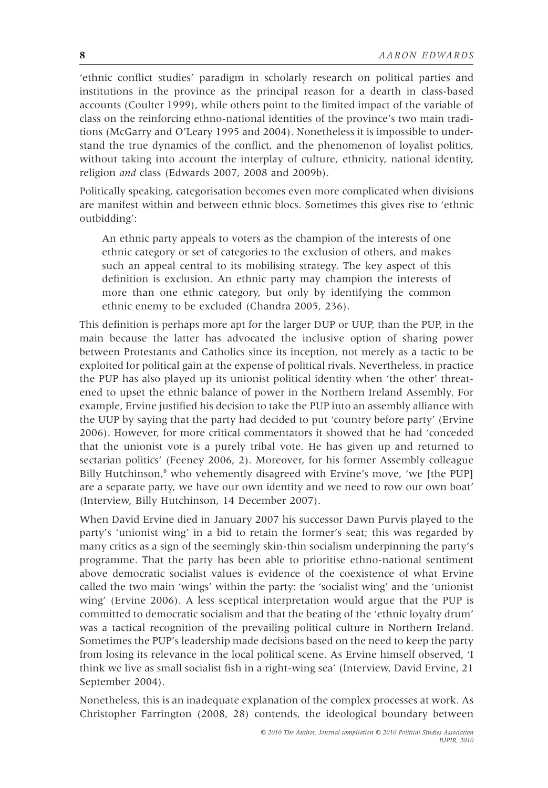'ethnic conflict studies' paradigm in scholarly research on political parties and institutions in the province as the principal reason for a dearth in class-based accounts (Coulter 1999), while others point to the limited impact of the variable of class on the reinforcing ethno-national identities of the province's two main traditions (McGarry and O'Leary 1995 and 2004). Nonetheless it is impossible to understand the true dynamics of the conflict, and the phenomenon of loyalist politics, without taking into account the interplay of culture, ethnicity, national identity, religion *and* class (Edwards 2007, 2008 and 2009b).

Politically speaking, categorisation becomes even more complicated when divisions are manifest within and between ethnic blocs. Sometimes this gives rise to 'ethnic outbidding':

An ethnic party appeals to voters as the champion of the interests of one ethnic category or set of categories to the exclusion of others, and makes such an appeal central to its mobilising strategy. The key aspect of this definition is exclusion. An ethnic party may champion the interests of more than one ethnic category, but only by identifying the common ethnic enemy to be excluded (Chandra 2005, 236).

This definition is perhaps more apt for the larger DUP or UUP, than the PUP, in the main because the latter has advocated the inclusive option of sharing power between Protestants and Catholics since its inception, not merely as a tactic to be exploited for political gain at the expense of political rivals. Nevertheless, in practice the PUP has also played up its unionist political identity when 'the other' threatened to upset the ethnic balance of power in the Northern Ireland Assembly. For example, Ervine justified his decision to take the PUP into an assembly alliance with the UUP by saying that the party had decided to put 'country before party' (Ervine 2006). However, for more critical commentators it showed that he had 'conceded that the unionist vote is a purely tribal vote. He has given up and returned to sectarian politics' (Feeney 2006, 2). Moreover, for his former Assembly colleague Billy Hutchinson,<sup>8</sup> who vehemently disagreed with Ervine's move, 'we [the PUP] are a separate party, we have our own identity and we need to row our own boat' (Interview, Billy Hutchinson, 14 December 2007).

When David Ervine died in January 2007 his successor Dawn Purvis played to the party's 'unionist wing' in a bid to retain the former's seat; this was regarded by many critics as a sign of the seemingly skin-thin socialism underpinning the party's programme. That the party has been able to prioritise ethno-national sentiment above democratic socialist values is evidence of the coexistence of what Ervine called the two main 'wings' within the party: the 'socialist wing' and the 'unionist wing' (Ervine 2006). A less sceptical interpretation would argue that the PUP is committed to democratic socialism and that the beating of the 'ethnic loyalty drum' was a tactical recognition of the prevailing political culture in Northern Ireland. Sometimes the PUP's leadership made decisions based on the need to keep the party from losing its relevance in the local political scene. As Ervine himself observed, 'I think we live as small socialist fish in a right-wing sea' (Interview, David Ervine, 21 September 2004).

Nonetheless, this is an inadequate explanation of the complex processes at work. As Christopher Farrington (2008, 28) contends, the ideological boundary between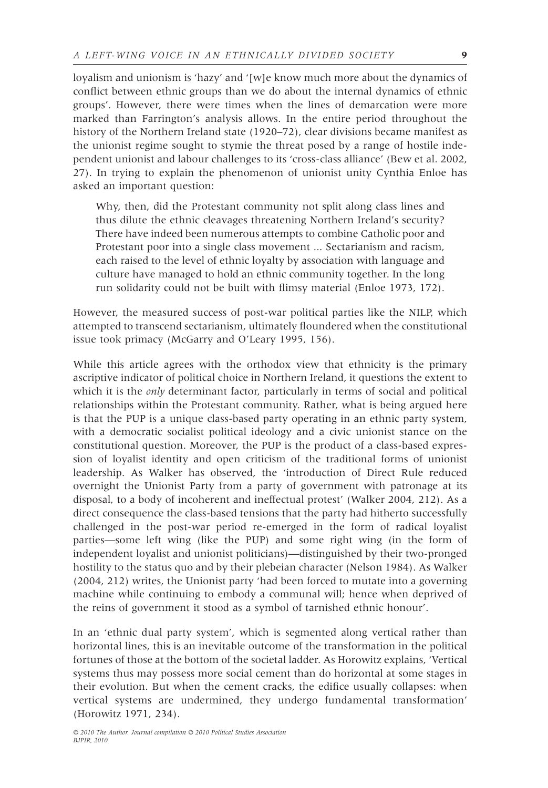loyalism and unionism is 'hazy' and '[w]e know much more about the dynamics of conflict between ethnic groups than we do about the internal dynamics of ethnic groups'. However, there were times when the lines of demarcation were more marked than Farrington's analysis allows. In the entire period throughout the history of the Northern Ireland state (1920–72), clear divisions became manifest as the unionist regime sought to stymie the threat posed by a range of hostile independent unionist and labour challenges to its 'cross-class alliance' (Bew et al. 2002, 27). In trying to explain the phenomenon of unionist unity Cynthia Enloe has asked an important question:

Why, then, did the Protestant community not split along class lines and thus dilute the ethnic cleavages threatening Northern Ireland's security? There have indeed been numerous attempts to combine Catholic poor and Protestant poor into a single class movement ... Sectarianism and racism, each raised to the level of ethnic loyalty by association with language and culture have managed to hold an ethnic community together. In the long run solidarity could not be built with flimsy material (Enloe 1973, 172).

However, the measured success of post-war political parties like the NILP, which attempted to transcend sectarianism, ultimately floundered when the constitutional issue took primacy (McGarry and O'Leary 1995, 156).

While this article agrees with the orthodox view that ethnicity is the primary ascriptive indicator of political choice in Northern Ireland, it questions the extent to which it is the *only* determinant factor, particularly in terms of social and political relationships within the Protestant community. Rather, what is being argued here is that the PUP is a unique class-based party operating in an ethnic party system, with a democratic socialist political ideology and a civic unionist stance on the constitutional question. Moreover, the PUP is the product of a class-based expression of loyalist identity and open criticism of the traditional forms of unionist leadership. As Walker has observed, the 'introduction of Direct Rule reduced overnight the Unionist Party from a party of government with patronage at its disposal, to a body of incoherent and ineffectual protest' (Walker 2004, 212). As a direct consequence the class-based tensions that the party had hitherto successfully challenged in the post-war period re-emerged in the form of radical loyalist parties—some left wing (like the PUP) and some right wing (in the form of independent loyalist and unionist politicians)—distinguished by their two-pronged hostility to the status quo and by their plebeian character (Nelson 1984). As Walker (2004, 212) writes, the Unionist party 'had been forced to mutate into a governing machine while continuing to embody a communal will; hence when deprived of the reins of government it stood as a symbol of tarnished ethnic honour'.

In an 'ethnic dual party system', which is segmented along vertical rather than horizontal lines, this is an inevitable outcome of the transformation in the political fortunes of those at the bottom of the societal ladder. As Horowitz explains, 'Vertical systems thus may possess more social cement than do horizontal at some stages in their evolution. But when the cement cracks, the edifice usually collapses: when vertical systems are undermined, they undergo fundamental transformation' (Horowitz 1971, 234).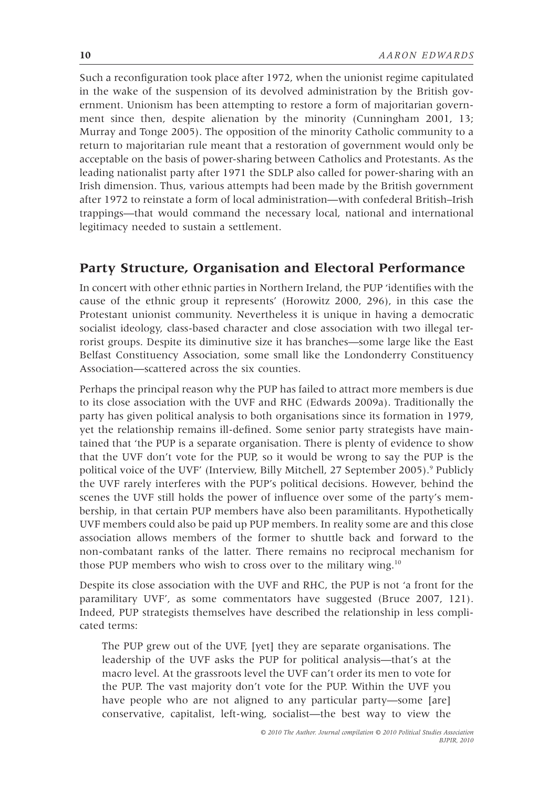Such a reconfiguration took place after 1972, when the unionist regime capitulated in the wake of the suspension of its devolved administration by the British government. Unionism has been attempting to restore a form of majoritarian government since then, despite alienation by the minority (Cunningham 2001, 13; Murray and Tonge 2005). The opposition of the minority Catholic community to a return to majoritarian rule meant that a restoration of government would only be acceptable on the basis of power-sharing between Catholics and Protestants. As the leading nationalist party after 1971 the SDLP also called for power-sharing with an Irish dimension. Thus, various attempts had been made by the British government after 1972 to reinstate a form of local administration—with confederal British–Irish trappings—that would command the necessary local, national and international legitimacy needed to sustain a settlement.

#### **Party Structure, Organisation and Electoral Performance**

In concert with other ethnic parties in Northern Ireland, the PUP 'identifies with the cause of the ethnic group it represents' (Horowitz 2000, 296), in this case the Protestant unionist community. Nevertheless it is unique in having a democratic socialist ideology, class-based character and close association with two illegal terrorist groups. Despite its diminutive size it has branches—some large like the East Belfast Constituency Association, some small like the Londonderry Constituency Association—scattered across the six counties.

Perhaps the principal reason why the PUP has failed to attract more members is due to its close association with the UVF and RHC (Edwards 2009a). Traditionally the party has given political analysis to both organisations since its formation in 1979, yet the relationship remains ill-defined. Some senior party strategists have maintained that 'the PUP is a separate organisation. There is plenty of evidence to show that the UVF don't vote for the PUP, so it would be wrong to say the PUP is the political voice of the UVF' (Interview, Billy Mitchell, 27 September 2005).9 Publicly the UVF rarely interferes with the PUP's political decisions. However, behind the scenes the UVF still holds the power of influence over some of the party's membership, in that certain PUP members have also been paramilitants. Hypothetically UVF members could also be paid up PUP members. In reality some are and this close association allows members of the former to shuttle back and forward to the non-combatant ranks of the latter. There remains no reciprocal mechanism for those PUP members who wish to cross over to the military wing.<sup>10</sup>

Despite its close association with the UVF and RHC, the PUP is not 'a front for the paramilitary UVF', as some commentators have suggested (Bruce 2007, 121). Indeed, PUP strategists themselves have described the relationship in less complicated terms:

The PUP grew out of the UVF, [yet] they are separate organisations. The leadership of the UVF asks the PUP for political analysis—that's at the macro level. At the grassroots level the UVF can't order its men to vote for the PUP. The vast majority don't vote for the PUP. Within the UVF you have people who are not aligned to any particular party—some [are] conservative, capitalist, left-wing, socialist—the best way to view the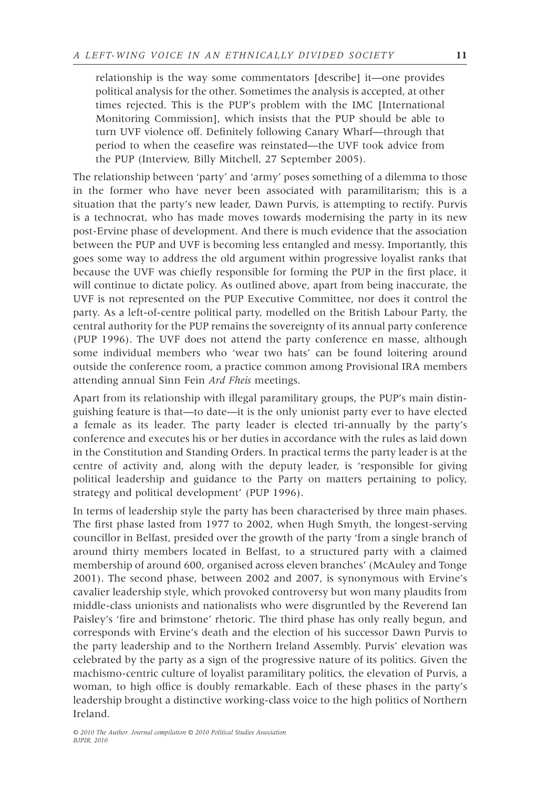relationship is the way some commentators [describe] it—one provides political analysis for the other. Sometimes the analysis is accepted, at other times rejected. This is the PUP's problem with the IMC [International Monitoring Commission], which insists that the PUP should be able to turn UVF violence off. Definitely following Canary Wharf—through that period to when the ceasefire was reinstated—the UVF took advice from the PUP (Interview, Billy Mitchell, 27 September 2005).

The relationship between 'party' and 'army' poses something of a dilemma to those in the former who have never been associated with paramilitarism; this is a situation that the party's new leader, Dawn Purvis, is attempting to rectify. Purvis is a technocrat, who has made moves towards modernising the party in its new post-Ervine phase of development. And there is much evidence that the association between the PUP and UVF is becoming less entangled and messy. Importantly, this goes some way to address the old argument within progressive loyalist ranks that because the UVF was chiefly responsible for forming the PUP in the first place, it will continue to dictate policy. As outlined above, apart from being inaccurate, the UVF is not represented on the PUP Executive Committee, nor does it control the party. As a left-of-centre political party, modelled on the British Labour Party, the central authority for the PUP remains the sovereignty of its annual party conference (PUP 1996). The UVF does not attend the party conference en masse, although some individual members who 'wear two hats' can be found loitering around outside the conference room, a practice common among Provisional IRA members attending annual Sinn Fein *Ard Fheis* meetings.

Apart from its relationship with illegal paramilitary groups, the PUP's main distinguishing feature is that—to date—it is the only unionist party ever to have elected a female as its leader. The party leader is elected tri-annually by the party's conference and executes his or her duties in accordance with the rules as laid down in the Constitution and Standing Orders. In practical terms the party leader is at the centre of activity and, along with the deputy leader, is 'responsible for giving political leadership and guidance to the Party on matters pertaining to policy, strategy and political development' (PUP 1996).

In terms of leadership style the party has been characterised by three main phases. The first phase lasted from 1977 to 2002, when Hugh Smyth, the longest-serving councillor in Belfast, presided over the growth of the party 'from a single branch of around thirty members located in Belfast, to a structured party with a claimed membership of around 600, organised across eleven branches' (McAuley and Tonge 2001). The second phase, between 2002 and 2007, is synonymous with Ervine's cavalier leadership style, which provoked controversy but won many plaudits from middle-class unionists and nationalists who were disgruntled by the Reverend Ian Paisley's 'fire and brimstone' rhetoric. The third phase has only really begun, and corresponds with Ervine's death and the election of his successor Dawn Purvis to the party leadership and to the Northern Ireland Assembly. Purvis' elevation was celebrated by the party as a sign of the progressive nature of its politics. Given the machismo-centric culture of loyalist paramilitary politics, the elevation of Purvis, a woman, to high office is doubly remarkable. Each of these phases in the party's leadership brought a distinctive working-class voice to the high politics of Northern Ireland.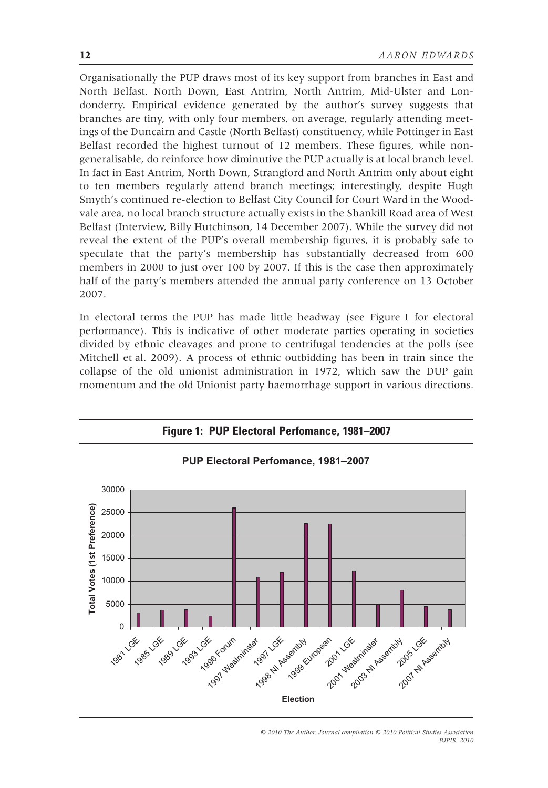Organisationally the PUP draws most of its key support from branches in East and North Belfast, North Down, East Antrim, North Antrim, Mid-Ulster and Londonderry. Empirical evidence generated by the author's survey suggests that branches are tiny, with only four members, on average, regularly attending meetings of the Duncairn and Castle (North Belfast) constituency, while Pottinger in East Belfast recorded the highest turnout of 12 members. These figures, while nongeneralisable, do reinforce how diminutive the PUP actually is at local branch level. In fact in East Antrim, North Down, Strangford and North Antrim only about eight to ten members regularly attend branch meetings; interestingly, despite Hugh Smyth's continued re-election to Belfast City Council for Court Ward in the Woodvale area, no local branch structure actually exists in the Shankill Road area of West Belfast (Interview, Billy Hutchinson, 14 December 2007). While the survey did not reveal the extent of the PUP's overall membership figures, it is probably safe to speculate that the party's membership has substantially decreased from 600 members in 2000 to just over 100 by 2007. If this is the case then approximately half of the party's members attended the annual party conference on 13 October 2007.

In electoral terms the PUP has made little headway (see Figure 1 for electoral performance). This is indicative of other moderate parties operating in societies divided by ethnic cleavages and prone to centrifugal tendencies at the polls (see Mitchell et al. 2009). A process of ethnic outbidding has been in train since the collapse of the old unionist administration in 1972, which saw the DUP gain momentum and the old Unionist party haemorrhage support in various directions.



*<sup>© 2010</sup> The Author. Journal compilation © 2010 Political Studies Association BJPIR, 2010*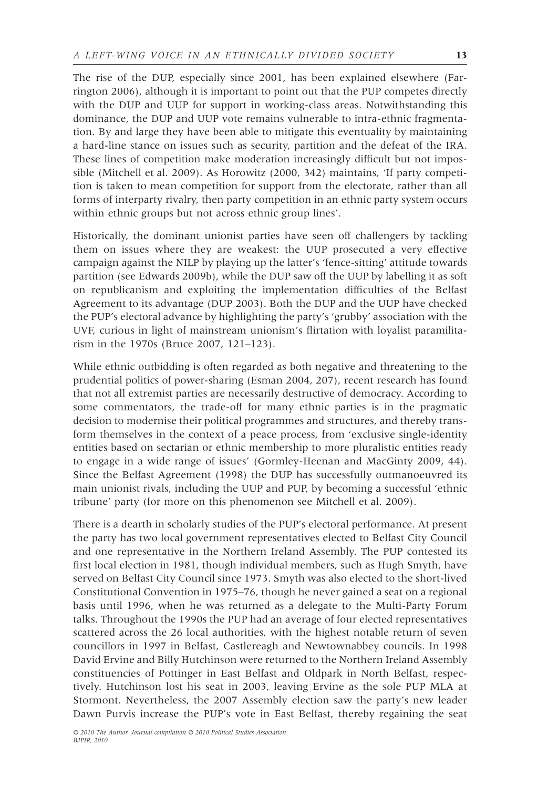The rise of the DUP, especially since 2001, has been explained elsewhere (Farrington 2006), although it is important to point out that the PUP competes directly with the DUP and UUP for support in working-class areas. Notwithstanding this dominance, the DUP and UUP vote remains vulnerable to intra-ethnic fragmentation. By and large they have been able to mitigate this eventuality by maintaining a hard-line stance on issues such as security, partition and the defeat of the IRA. These lines of competition make moderation increasingly difficult but not impossible (Mitchell et al. 2009). As Horowitz (2000, 342) maintains, 'If party competition is taken to mean competition for support from the electorate, rather than all forms of interparty rivalry, then party competition in an ethnic party system occurs within ethnic groups but not across ethnic group lines'.

Historically, the dominant unionist parties have seen off challengers by tackling them on issues where they are weakest: the UUP prosecuted a very effective campaign against the NILP by playing up the latter's 'fence-sitting' attitude towards partition (see Edwards 2009b), while the DUP saw off the UUP by labelling it as soft on republicanism and exploiting the implementation difficulties of the Belfast Agreement to its advantage (DUP 2003). Both the DUP and the UUP have checked the PUP's electoral advance by highlighting the party's 'grubby' association with the UVF, curious in light of mainstream unionism's flirtation with loyalist paramilitarism in the 1970s (Bruce 2007, 121–123).

While ethnic outbidding is often regarded as both negative and threatening to the prudential politics of power-sharing (Esman 2004, 207), recent research has found that not all extremist parties are necessarily destructive of democracy. According to some commentators, the trade-off for many ethnic parties is in the pragmatic decision to modernise their political programmes and structures, and thereby transform themselves in the context of a peace process, from 'exclusive single-identity entities based on sectarian or ethnic membership to more pluralistic entities ready to engage in a wide range of issues' (Gormley-Heenan and MacGinty 2009, 44). Since the Belfast Agreement (1998) the DUP has successfully outmanoeuvred its main unionist rivals, including the UUP and PUP, by becoming a successful 'ethnic tribune' party (for more on this phenomenon see Mitchell et al. 2009).

There is a dearth in scholarly studies of the PUP's electoral performance. At present the party has two local government representatives elected to Belfast City Council and one representative in the Northern Ireland Assembly. The PUP contested its first local election in 1981, though individual members, such as Hugh Smyth, have served on Belfast City Council since 1973. Smyth was also elected to the short-lived Constitutional Convention in 1975–76, though he never gained a seat on a regional basis until 1996, when he was returned as a delegate to the Multi-Party Forum talks. Throughout the 1990s the PUP had an average of four elected representatives scattered across the 26 local authorities, with the highest notable return of seven councillors in 1997 in Belfast, Castlereagh and Newtownabbey councils. In 1998 David Ervine and Billy Hutchinson were returned to the Northern Ireland Assembly constituencies of Pottinger in East Belfast and Oldpark in North Belfast, respectively. Hutchinson lost his seat in 2003, leaving Ervine as the sole PUP MLA at Stormont. Nevertheless, the 2007 Assembly election saw the party's new leader Dawn Purvis increase the PUP's vote in East Belfast, thereby regaining the seat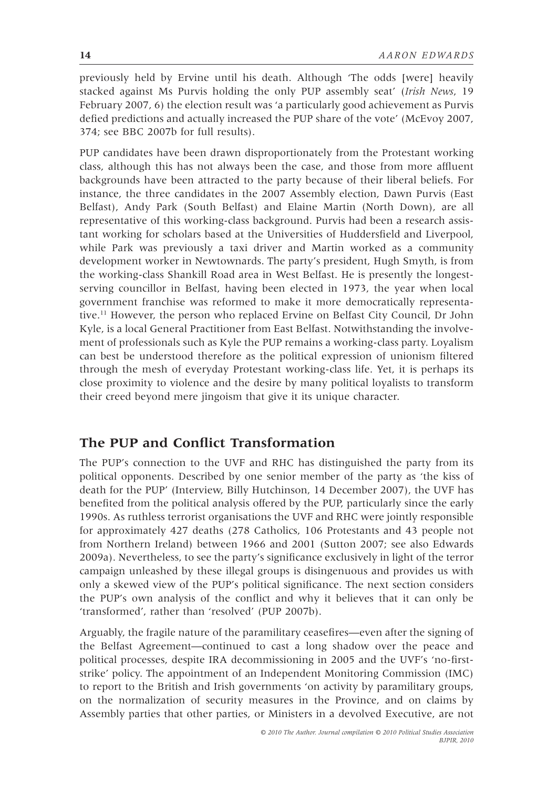previously held by Ervine until his death. Although 'The odds [were] heavily stacked against Ms Purvis holding the only PUP assembly seat' (*Irish News*, 19 February 2007, 6) the election result was 'a particularly good achievement as Purvis defied predictions and actually increased the PUP share of the vote' (McEvoy 2007, 374; see BBC 2007b for full results).

PUP candidates have been drawn disproportionately from the Protestant working class, although this has not always been the case, and those from more affluent backgrounds have been attracted to the party because of their liberal beliefs. For instance, the three candidates in the 2007 Assembly election, Dawn Purvis (East Belfast), Andy Park (South Belfast) and Elaine Martin (North Down), are all representative of this working-class background. Purvis had been a research assistant working for scholars based at the Universities of Huddersfield and Liverpool, while Park was previously a taxi driver and Martin worked as a community development worker in Newtownards. The party's president, Hugh Smyth, is from the working-class Shankill Road area in West Belfast. He is presently the longestserving councillor in Belfast, having been elected in 1973, the year when local government franchise was reformed to make it more democratically representative.11 However, the person who replaced Ervine on Belfast City Council, Dr John Kyle, is a local General Practitioner from East Belfast. Notwithstanding the involvement of professionals such as Kyle the PUP remains a working-class party. Loyalism can best be understood therefore as the political expression of unionism filtered through the mesh of everyday Protestant working-class life. Yet, it is perhaps its close proximity to violence and the desire by many political loyalists to transform their creed beyond mere jingoism that give it its unique character.

### **The PUP and Conflict Transformation**

The PUP's connection to the UVF and RHC has distinguished the party from its political opponents. Described by one senior member of the party as 'the kiss of death for the PUP' (Interview, Billy Hutchinson, 14 December 2007), the UVF has benefited from the political analysis offered by the PUP, particularly since the early 1990s. As ruthless terrorist organisations the UVF and RHC were jointly responsible for approximately 427 deaths (278 Catholics, 106 Protestants and 43 people not from Northern Ireland) between 1966 and 2001 (Sutton 2007; see also Edwards 2009a). Nevertheless, to see the party's significance exclusively in light of the terror campaign unleashed by these illegal groups is disingenuous and provides us with only a skewed view of the PUP's political significance. The next section considers the PUP's own analysis of the conflict and why it believes that it can only be 'transformed', rather than 'resolved' (PUP 2007b).

Arguably, the fragile nature of the paramilitary ceasefires—even after the signing of the Belfast Agreement—continued to cast a long shadow over the peace and political processes, despite IRA decommissioning in 2005 and the UVF's 'no-firststrike' policy. The appointment of an Independent Monitoring Commission (IMC) to report to the British and Irish governments 'on activity by paramilitary groups, on the normalization of security measures in the Province, and on claims by Assembly parties that other parties, or Ministers in a devolved Executive, are not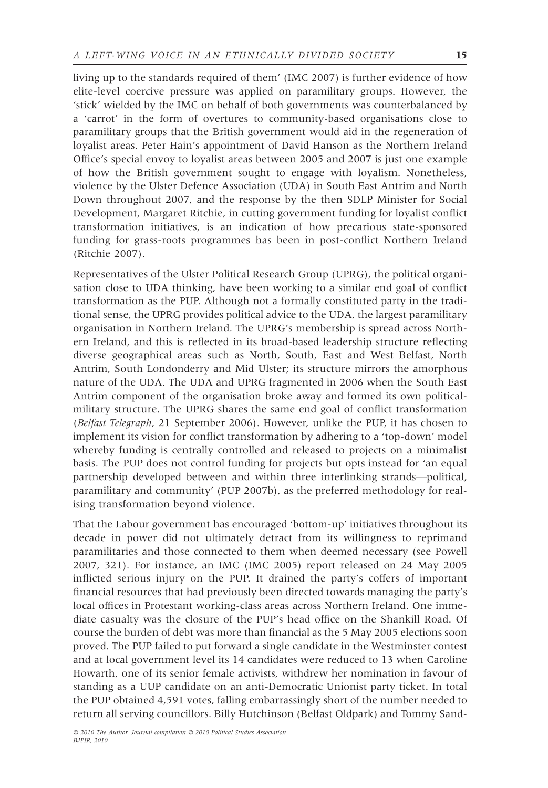living up to the standards required of them' (IMC 2007) is further evidence of how elite-level coercive pressure was applied on paramilitary groups. However, the 'stick' wielded by the IMC on behalf of both governments was counterbalanced by a 'carrot' in the form of overtures to community-based organisations close to paramilitary groups that the British government would aid in the regeneration of loyalist areas. Peter Hain's appointment of David Hanson as the Northern Ireland Office's special envoy to loyalist areas between 2005 and 2007 is just one example of how the British government sought to engage with loyalism. Nonetheless, violence by the Ulster Defence Association (UDA) in South East Antrim and North Down throughout 2007, and the response by the then SDLP Minister for Social Development, Margaret Ritchie, in cutting government funding for loyalist conflict transformation initiatives, is an indication of how precarious state-sponsored funding for grass-roots programmes has been in post-conflict Northern Ireland (Ritchie 2007).

Representatives of the Ulster Political Research Group (UPRG), the political organisation close to UDA thinking, have been working to a similar end goal of conflict transformation as the PUP. Although not a formally constituted party in the traditional sense, the UPRG provides political advice to the UDA, the largest paramilitary organisation in Northern Ireland. The UPRG's membership is spread across Northern Ireland, and this is reflected in its broad-based leadership structure reflecting diverse geographical areas such as North, South, East and West Belfast, North Antrim, South Londonderry and Mid Ulster; its structure mirrors the amorphous nature of the UDA. The UDA and UPRG fragmented in 2006 when the South East Antrim component of the organisation broke away and formed its own politicalmilitary structure. The UPRG shares the same end goal of conflict transformation (*Belfast Telegraph*, 21 September 2006). However, unlike the PUP, it has chosen to implement its vision for conflict transformation by adhering to a 'top-down' model whereby funding is centrally controlled and released to projects on a minimalist basis. The PUP does not control funding for projects but opts instead for 'an equal partnership developed between and within three interlinking strands—political, paramilitary and community' (PUP 2007b), as the preferred methodology for realising transformation beyond violence.

That the Labour government has encouraged 'bottom-up' initiatives throughout its decade in power did not ultimately detract from its willingness to reprimand paramilitaries and those connected to them when deemed necessary (see Powell 2007, 321). For instance, an IMC (IMC 2005) report released on 24 May 2005 inflicted serious injury on the PUP. It drained the party's coffers of important financial resources that had previously been directed towards managing the party's local offices in Protestant working-class areas across Northern Ireland. One immediate casualty was the closure of the PUP's head office on the Shankill Road. Of course the burden of debt was more than financial as the 5 May 2005 elections soon proved. The PUP failed to put forward a single candidate in the Westminster contest and at local government level its 14 candidates were reduced to 13 when Caroline Howarth, one of its senior female activists, withdrew her nomination in favour of standing as a UUP candidate on an anti-Democratic Unionist party ticket. In total the PUP obtained 4,591 votes, falling embarrassingly short of the number needed to return all serving councillors. Billy Hutchinson (Belfast Oldpark) and Tommy Sand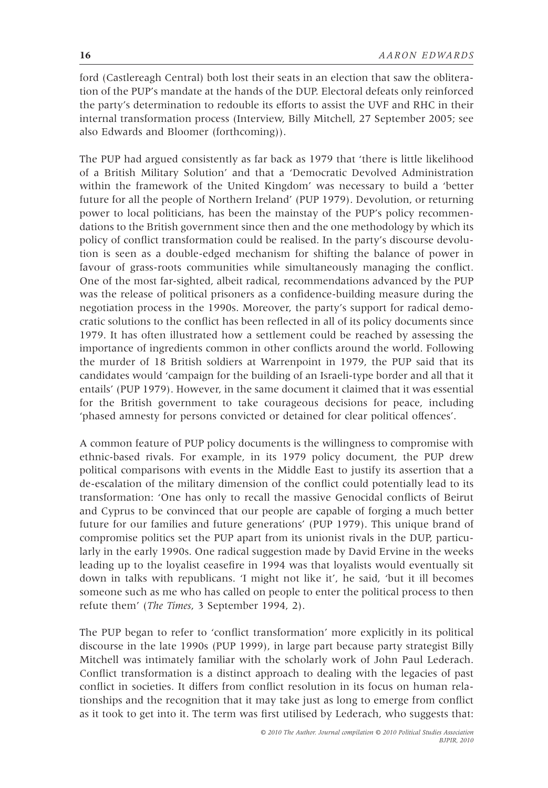ford (Castlereagh Central) both lost their seats in an election that saw the obliteration of the PUP's mandate at the hands of the DUP. Electoral defeats only reinforced the party's determination to redouble its efforts to assist the UVF and RHC in their internal transformation process (Interview, Billy Mitchell, 27 September 2005; see also Edwards and Bloomer (forthcoming)).

The PUP had argued consistently as far back as 1979 that 'there is little likelihood of a British Military Solution' and that a 'Democratic Devolved Administration within the framework of the United Kingdom' was necessary to build a 'better future for all the people of Northern Ireland' (PUP 1979). Devolution, or returning power to local politicians, has been the mainstay of the PUP's policy recommendations to the British government since then and the one methodology by which its policy of conflict transformation could be realised. In the party's discourse devolution is seen as a double-edged mechanism for shifting the balance of power in favour of grass-roots communities while simultaneously managing the conflict. One of the most far-sighted, albeit radical, recommendations advanced by the PUP was the release of political prisoners as a confidence-building measure during the negotiation process in the 1990s. Moreover, the party's support for radical democratic solutions to the conflict has been reflected in all of its policy documents since 1979. It has often illustrated how a settlement could be reached by assessing the importance of ingredients common in other conflicts around the world. Following the murder of 18 British soldiers at Warrenpoint in 1979, the PUP said that its candidates would 'campaign for the building of an Israeli-type border and all that it entails' (PUP 1979). However, in the same document it claimed that it was essential for the British government to take courageous decisions for peace, including 'phased amnesty for persons convicted or detained for clear political offences'.

A common feature of PUP policy documents is the willingness to compromise with ethnic-based rivals. For example, in its 1979 policy document, the PUP drew political comparisons with events in the Middle East to justify its assertion that a de-escalation of the military dimension of the conflict could potentially lead to its transformation: 'One has only to recall the massive Genocidal conflicts of Beirut and Cyprus to be convinced that our people are capable of forging a much better future for our families and future generations' (PUP 1979). This unique brand of compromise politics set the PUP apart from its unionist rivals in the DUP, particularly in the early 1990s. One radical suggestion made by David Ervine in the weeks leading up to the loyalist ceasefire in 1994 was that loyalists would eventually sit down in talks with republicans. 'I might not like it', he said, 'but it ill becomes someone such as me who has called on people to enter the political process to then refute them' (*The Times*, 3 September 1994, 2).

The PUP began to refer to 'conflict transformation' more explicitly in its political discourse in the late 1990s (PUP 1999), in large part because party strategist Billy Mitchell was intimately familiar with the scholarly work of John Paul Lederach. Conflict transformation is a distinct approach to dealing with the legacies of past conflict in societies. It differs from conflict resolution in its focus on human relationships and the recognition that it may take just as long to emerge from conflict as it took to get into it. The term was first utilised by Lederach, who suggests that: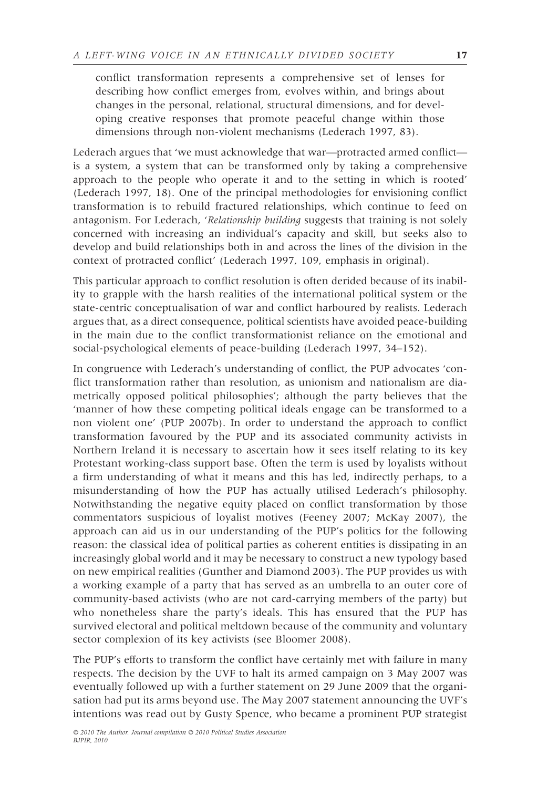conflict transformation represents a comprehensive set of lenses for describing how conflict emerges from, evolves within, and brings about changes in the personal, relational, structural dimensions, and for developing creative responses that promote peaceful change within those dimensions through non-violent mechanisms (Lederach 1997, 83).

Lederach argues that 'we must acknowledge that war—protracted armed conflict is a system, a system that can be transformed only by taking a comprehensive approach to the people who operate it and to the setting in which is rooted' (Lederach 1997, 18). One of the principal methodologies for envisioning conflict transformation is to rebuild fractured relationships, which continue to feed on antagonism. For Lederach, '*Relationship building* suggests that training is not solely concerned with increasing an individual's capacity and skill, but seeks also to develop and build relationships both in and across the lines of the division in the context of protracted conflict' (Lederach 1997, 109, emphasis in original).

This particular approach to conflict resolution is often derided because of its inability to grapple with the harsh realities of the international political system or the state-centric conceptualisation of war and conflict harboured by realists. Lederach argues that, as a direct consequence, political scientists have avoided peace-building in the main due to the conflict transformationist reliance on the emotional and social-psychological elements of peace-building (Lederach 1997, 34–152).

In congruence with Lederach's understanding of conflict, the PUP advocates 'conflict transformation rather than resolution, as unionism and nationalism are diametrically opposed political philosophies'; although the party believes that the 'manner of how these competing political ideals engage can be transformed to a non violent one' (PUP 2007b). In order to understand the approach to conflict transformation favoured by the PUP and its associated community activists in Northern Ireland it is necessary to ascertain how it sees itself relating to its key Protestant working-class support base. Often the term is used by loyalists without a firm understanding of what it means and this has led, indirectly perhaps, to a misunderstanding of how the PUP has actually utilised Lederach's philosophy. Notwithstanding the negative equity placed on conflict transformation by those commentators suspicious of loyalist motives (Feeney 2007; McKay 2007), the approach can aid us in our understanding of the PUP's politics for the following reason: the classical idea of political parties as coherent entities is dissipating in an increasingly global world and it may be necessary to construct a new typology based on new empirical realities (Gunther and Diamond 2003). The PUP provides us with a working example of a party that has served as an umbrella to an outer core of community-based activists (who are not card-carrying members of the party) but who nonetheless share the party's ideals. This has ensured that the PUP has survived electoral and political meltdown because of the community and voluntary sector complexion of its key activists (see Bloomer 2008).

The PUP's efforts to transform the conflict have certainly met with failure in many respects. The decision by the UVF to halt its armed campaign on 3 May 2007 was eventually followed up with a further statement on 29 June 2009 that the organisation had put its arms beyond use. The May 2007 statement announcing the UVF's intentions was read out by Gusty Spence, who became a prominent PUP strategist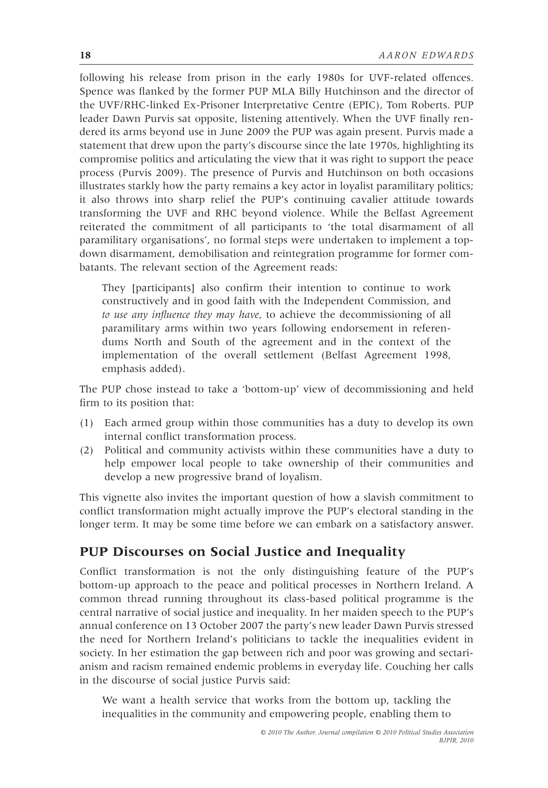following his release from prison in the early 1980s for UVF-related offences. Spence was flanked by the former PUP MLA Billy Hutchinson and the director of the UVF/RHC-linked Ex-Prisoner Interpretative Centre (EPIC), Tom Roberts. PUP leader Dawn Purvis sat opposite, listening attentively. When the UVF finally rendered its arms beyond use in June 2009 the PUP was again present. Purvis made a statement that drew upon the party's discourse since the late 1970s, highlighting its compromise politics and articulating the view that it was right to support the peace process (Purvis 2009). The presence of Purvis and Hutchinson on both occasions illustrates starkly how the party remains a key actor in loyalist paramilitary politics; it also throws into sharp relief the PUP's continuing cavalier attitude towards transforming the UVF and RHC beyond violence. While the Belfast Agreement reiterated the commitment of all participants to 'the total disarmament of all paramilitary organisations', no formal steps were undertaken to implement a topdown disarmament, demobilisation and reintegration programme for former combatants. The relevant section of the Agreement reads:

They [participants] also confirm their intention to continue to work constructively and in good faith with the Independent Commission, and *to use any influence they may have*, to achieve the decommissioning of all paramilitary arms within two years following endorsement in referendums North and South of the agreement and in the context of the implementation of the overall settlement (Belfast Agreement 1998, emphasis added).

The PUP chose instead to take a 'bottom-up' view of decommissioning and held firm to its position that:

- (1) Each armed group within those communities has a duty to develop its own internal conflict transformation process.
- (2) Political and community activists within these communities have a duty to help empower local people to take ownership of their communities and develop a new progressive brand of loyalism.

This vignette also invites the important question of how a slavish commitment to conflict transformation might actually improve the PUP's electoral standing in the longer term. It may be some time before we can embark on a satisfactory answer.

### **PUP Discourses on Social Justice and Inequality**

Conflict transformation is not the only distinguishing feature of the PUP's bottom-up approach to the peace and political processes in Northern Ireland. A common thread running throughout its class-based political programme is the central narrative of social justice and inequality. In her maiden speech to the PUP's annual conference on 13 October 2007 the party's new leader Dawn Purvis stressed the need for Northern Ireland's politicians to tackle the inequalities evident in society. In her estimation the gap between rich and poor was growing and sectarianism and racism remained endemic problems in everyday life. Couching her calls in the discourse of social justice Purvis said:

We want a health service that works from the bottom up, tackling the inequalities in the community and empowering people, enabling them to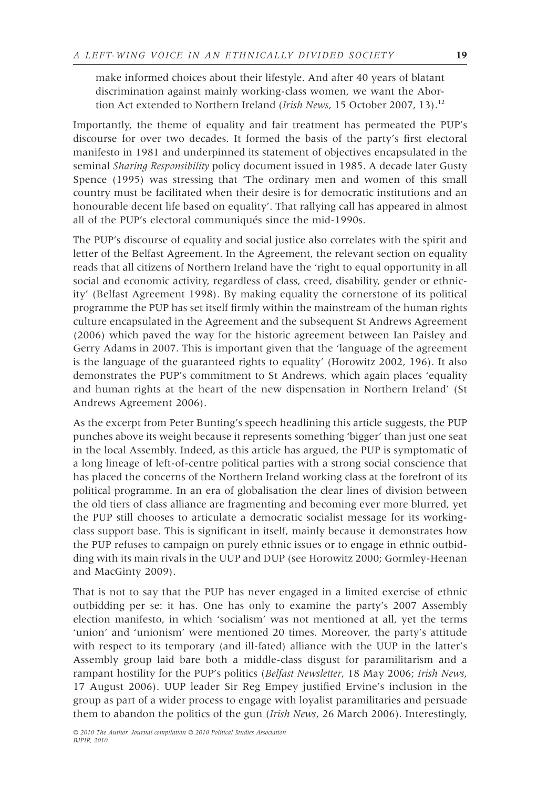make informed choices about their lifestyle. And after 40 years of blatant discrimination against mainly working-class women, we want the Abortion Act extended to Northern Ireland (*Irish News*, 15 October 2007, 13).<sup>12</sup>

Importantly, the theme of equality and fair treatment has permeated the PUP's discourse for over two decades. It formed the basis of the party's first electoral manifesto in 1981 and underpinned its statement of objectives encapsulated in the seminal *Sharing Responsibility* policy document issued in 1985. A decade later Gusty Spence (1995) was stressing that 'The ordinary men and women of this small country must be facilitated when their desire is for democratic institutions and an honourable decent life based on equality'. That rallying call has appeared in almost all of the PUP's electoral communiqués since the mid-1990s.

The PUP's discourse of equality and social justice also correlates with the spirit and letter of the Belfast Agreement. In the Agreement, the relevant section on equality reads that all citizens of Northern Ireland have the 'right to equal opportunity in all social and economic activity, regardless of class, creed, disability, gender or ethnicity' (Belfast Agreement 1998). By making equality the cornerstone of its political programme the PUP has set itself firmly within the mainstream of the human rights culture encapsulated in the Agreement and the subsequent St Andrews Agreement (2006) which paved the way for the historic agreement between Ian Paisley and Gerry Adams in 2007. This is important given that the 'language of the agreement is the language of the guaranteed rights to equality' (Horowitz 2002, 196). It also demonstrates the PUP's commitment to St Andrews, which again places 'equality and human rights at the heart of the new dispensation in Northern Ireland' (St Andrews Agreement 2006).

As the excerpt from Peter Bunting's speech headlining this article suggests, the PUP punches above its weight because it represents something 'bigger' than just one seat in the local Assembly. Indeed, as this article has argued, the PUP is symptomatic of a long lineage of left-of-centre political parties with a strong social conscience that has placed the concerns of the Northern Ireland working class at the forefront of its political programme. In an era of globalisation the clear lines of division between the old tiers of class alliance are fragmenting and becoming ever more blurred, yet the PUP still chooses to articulate a democratic socialist message for its workingclass support base. This is significant in itself, mainly because it demonstrates how the PUP refuses to campaign on purely ethnic issues or to engage in ethnic outbidding with its main rivals in the UUP and DUP (see Horowitz 2000; Gormley-Heenan and MacGinty 2009).

That is not to say that the PUP has never engaged in a limited exercise of ethnic outbidding per se: it has. One has only to examine the party's 2007 Assembly election manifesto, in which 'socialism' was not mentioned at all, yet the terms 'union' and 'unionism' were mentioned 20 times. Moreover, the party's attitude with respect to its temporary (and ill-fated) alliance with the UUP in the latter's Assembly group laid bare both a middle-class disgust for paramilitarism and a rampant hostility for the PUP's politics (*Belfast Newsletter*, 18 May 2006; *Irish News*, 17 August 2006). UUP leader Sir Reg Empey justified Ervine's inclusion in the group as part of a wider process to engage with loyalist paramilitaries and persuade them to abandon the politics of the gun (*Irish News*, 26 March 2006). Interestingly,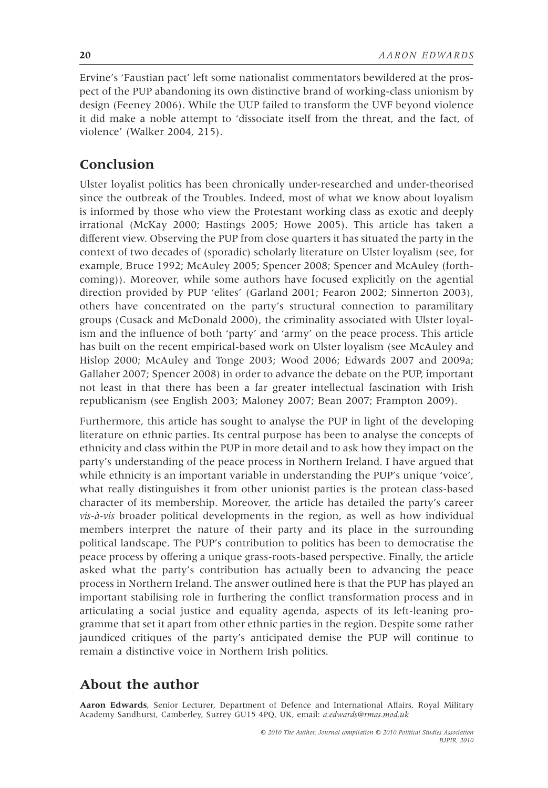Ervine's 'Faustian pact' left some nationalist commentators bewildered at the prospect of the PUP abandoning its own distinctive brand of working-class unionism by design (Feeney 2006). While the UUP failed to transform the UVF beyond violence it did make a noble attempt to 'dissociate itself from the threat, and the fact, of violence' (Walker 2004, 215).

## **Conclusion**

Ulster loyalist politics has been chronically under-researched and under-theorised since the outbreak of the Troubles. Indeed, most of what we know about loyalism is informed by those who view the Protestant working class as exotic and deeply irrational (McKay 2000; Hastings 2005; Howe 2005). This article has taken a different view. Observing the PUP from close quarters it has situated the party in the context of two decades of (sporadic) scholarly literature on Ulster loyalism (see, for example, Bruce 1992; McAuley 2005; Spencer 2008; Spencer and McAuley (forthcoming)). Moreover, while some authors have focused explicitly on the agential direction provided by PUP 'elites' (Garland 2001; Fearon 2002; Sinnerton 2003), others have concentrated on the party's structural connection to paramilitary groups (Cusack and McDonald 2000), the criminality associated with Ulster loyalism and the influence of both 'party' and 'army' on the peace process. This article has built on the recent empirical-based work on Ulster loyalism (see McAuley and Hislop 2000; McAuley and Tonge 2003; Wood 2006; Edwards 2007 and 2009a; Gallaher 2007; Spencer 2008) in order to advance the debate on the PUP, important not least in that there has been a far greater intellectual fascination with Irish republicanism (see English 2003; Maloney 2007; Bean 2007; Frampton 2009).

Furthermore, this article has sought to analyse the PUP in light of the developing literature on ethnic parties. Its central purpose has been to analyse the concepts of ethnicity and class within the PUP in more detail and to ask how they impact on the party's understanding of the peace process in Northern Ireland. I have argued that while ethnicity is an important variable in understanding the PUP's unique 'voice', what really distinguishes it from other unionist parties is the protean class-based character of its membership. Moreover, the article has detailed the party's career *vis-à-vis* broader political developments in the region, as well as how individual members interpret the nature of their party and its place in the surrounding political landscape. The PUP's contribution to politics has been to democratise the peace process by offering a unique grass-roots-based perspective. Finally, the article asked what the party's contribution has actually been to advancing the peace process in Northern Ireland. The answer outlined here is that the PUP has played an important stabilising role in furthering the conflict transformation process and in articulating a social justice and equality agenda, aspects of its left-leaning programme that set it apart from other ethnic parties in the region. Despite some rather jaundiced critiques of the party's anticipated demise the PUP will continue to remain a distinctive voice in Northern Irish politics.

## **About the author**

**Aaron Edwards**, Senior Lecturer, Department of Defence and International Affairs, Royal Military Academy Sandhurst, Camberley, Surrey GU15 4PQ, UK, email: *a.edwards@rmas.mod.uk*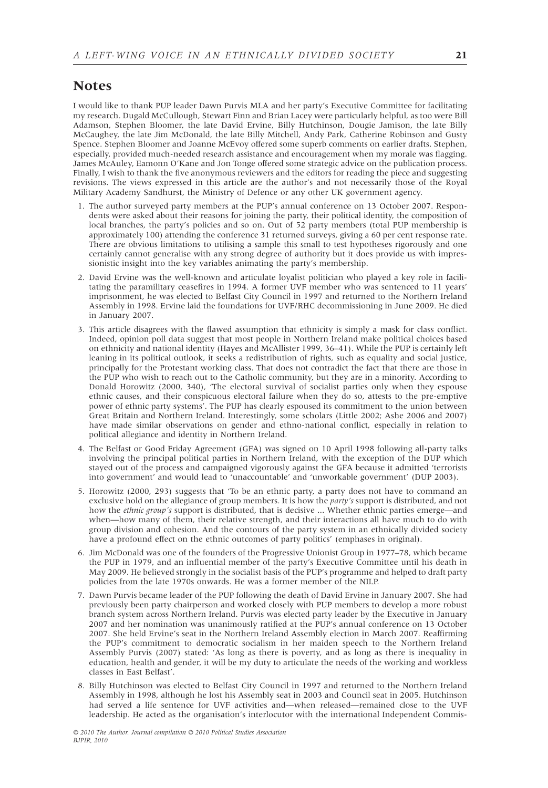#### **Notes**

I would like to thank PUP leader Dawn Purvis MLA and her party's Executive Committee for facilitating my research. Dugald McCullough, Stewart Finn and Brian Lacey were particularly helpful, as too were Bill Adamson, Stephen Bloomer, the late David Ervine, Billy Hutchinson, Dougie Jamison, the late Billy McCaughey, the late Jim McDonald, the late Billy Mitchell, Andy Park, Catherine Robinson and Gusty Spence. Stephen Bloomer and Joanne McEvoy offered some superb comments on earlier drafts. Stephen, especially, provided much-needed research assistance and encouragement when my morale was flagging. James McAuley, Eamonn O'Kane and Jon Tonge offered some strategic advice on the publication process. Finally, I wish to thank the five anonymous reviewers and the editors for reading the piece and suggesting revisions. The views expressed in this article are the author's and not necessarily those of the Royal Military Academy Sandhurst, the Ministry of Defence or any other UK government agency.

- 1. The author surveyed party members at the PUP's annual conference on 13 October 2007. Respondents were asked about their reasons for joining the party, their political identity, the composition of local branches, the party's policies and so on. Out of 52 party members (total PUP membership is approximately 100) attending the conference 31 returned surveys, giving a 60 per cent response rate. There are obvious limitations to utilising a sample this small to test hypotheses rigorously and one certainly cannot generalise with any strong degree of authority but it does provide us with impressionistic insight into the key variables animating the party's membership.
- 2. David Ervine was the well-known and articulate loyalist politician who played a key role in facilitating the paramilitary ceasefires in 1994. A former UVF member who was sentenced to 11 years' imprisonment, he was elected to Belfast City Council in 1997 and returned to the Northern Ireland Assembly in 1998. Ervine laid the foundations for UVF/RHC decommissioning in June 2009. He died in January 2007.
- 3. This article disagrees with the flawed assumption that ethnicity is simply a mask for class conflict. Indeed, opinion poll data suggest that most people in Northern Ireland make political choices based on ethnicity and national identity (Hayes and McAllister 1999, 36–41). While the PUP is certainly left leaning in its political outlook, it seeks a redistribution of rights, such as equality and social justice, principally for the Protestant working class. That does not contradict the fact that there are those in the PUP who wish to reach out to the Catholic community, but they are in a minority. According to Donald Horowitz (2000, 340), 'The electoral survival of socialist parties only when they espouse ethnic causes, and their conspicuous electoral failure when they do so, attests to the pre-emptive power of ethnic party systems'. The PUP has clearly espoused its commitment to the union between Great Britain and Northern Ireland. Interestingly, some scholars (Little 2002; Ashe 2006 and 2007) have made similar observations on gender and ethno-national conflict, especially in relation to political allegiance and identity in Northern Ireland.
- 4. The Belfast or Good Friday Agreement (GFA) was signed on 10 April 1998 following all-party talks involving the principal political parties in Northern Ireland, with the exception of the DUP which stayed out of the process and campaigned vigorously against the GFA because it admitted 'terrorists into government' and would lead to 'unaccountable' and 'unworkable government' (DUP 2003).
- 5. Horowitz (2000, 293) suggests that 'To be an ethnic party, a party does not have to command an exclusive hold on the allegiance of group members. It is how the *party's* support is distributed, and not how the *ethnic group's* support is distributed, that is decisive ... Whether ethnic parties emerge—and when—how many of them, their relative strength, and their interactions all have much to do with group division and cohesion. And the contours of the party system in an ethnically divided society have a profound effect on the ethnic outcomes of party politics' (emphases in original).
- 6. Jim McDonald was one of the founders of the Progressive Unionist Group in 1977–78, which became the PUP in 1979, and an influential member of the party's Executive Committee until his death in May 2009. He believed strongly in the socialist basis of the PUP's programme and helped to draft party policies from the late 1970s onwards. He was a former member of the NILP.
- 7. Dawn Purvis became leader of the PUP following the death of David Ervine in January 2007. She had previously been party chairperson and worked closely with PUP members to develop a more robust branch system across Northern Ireland. Purvis was elected party leader by the Executive in January 2007 and her nomination was unanimously ratified at the PUP's annual conference on 13 October 2007. She held Ervine's seat in the Northern Ireland Assembly election in March 2007. Reaffirming the PUP's commitment to democratic socialism in her maiden speech to the Northern Ireland Assembly Purvis (2007) stated: 'As long as there is poverty, and as long as there is inequality in education, health and gender, it will be my duty to articulate the needs of the working and workless classes in East Belfast'.
- 8. Billy Hutchinson was elected to Belfast City Council in 1997 and returned to the Northern Ireland Assembly in 1998, although he lost his Assembly seat in 2003 and Council seat in 2005. Hutchinson had served a life sentence for UVF activities and—when released—remained close to the UVF leadership. He acted as the organisation's interlocutor with the international Independent Commis-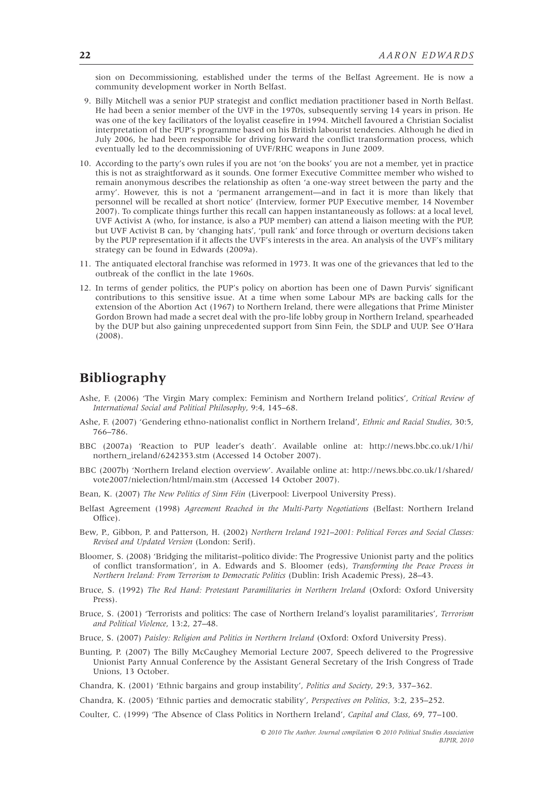sion on Decommissioning, established under the terms of the Belfast Agreement. He is now a community development worker in North Belfast.

- 9. Billy Mitchell was a senior PUP strategist and conflict mediation practitioner based in North Belfast. He had been a senior member of the UVF in the 1970s, subsequently serving 14 years in prison. He was one of the key facilitators of the loyalist ceasefire in 1994. Mitchell favoured a Christian Socialist interpretation of the PUP's programme based on his British labourist tendencies. Although he died in July 2006, he had been responsible for driving forward the conflict transformation process, which eventually led to the decommissioning of UVF/RHC weapons in June 2009.
- 10. According to the party's own rules if you are not 'on the books' you are not a member, yet in practice this is not as straightforward as it sounds. One former Executive Committee member who wished to remain anonymous describes the relationship as often 'a one-way street between the party and the army'. However, this is not a 'permanent arrangement—and in fact it is more than likely that personnel will be recalled at short notice' (Interview, former PUP Executive member, 14 November 2007). To complicate things further this recall can happen instantaneously as follows: at a local level, UVF Activist A (who, for instance, is also a PUP member) can attend a liaison meeting with the PUP, but UVF Activist B can, by 'changing hats', 'pull rank' and force through or overturn decisions taken by the PUP representation if it affects the UVF's interests in the area. An analysis of the UVF's military strategy can be found in Edwards (2009a).
- 11. The antiquated electoral franchise was reformed in 1973. It was one of the grievances that led to the outbreak of the conflict in the late 1960s.
- 12. In terms of gender politics, the PUP's policy on abortion has been one of Dawn Purvis' significant contributions to this sensitive issue. At a time when some Labour MPs are backing calls for the extension of the Abortion Act (1967) to Northern Ireland, there were allegations that Prime Minister Gordon Brown had made a secret deal with the pro-life lobby group in Northern Ireland, spearheaded by the DUP but also gaining unprecedented support from Sinn Fein, the SDLP and UUP. See O'Hara (2008).

#### **Bibliography**

- Ashe, F. (2006) 'The Virgin Mary complex: Feminism and Northern Ireland politics', *Critical Review of International Social and Political Philosophy*, 9:4, 145–68.
- Ashe, F. (2007) 'Gendering ethno-nationalist conflict in Northern Ireland', *Ethnic and Racial Studies*, 30:5, 766–786.
- BBC (2007a) 'Reaction to PUP leader's death'. Available online at: http://news.bbc.co.uk/1/hi/ northern\_ireland/6242353.stm (Accessed 14 October 2007).
- BBC (2007b) 'Northern Ireland election overview'. Available online at: http://news.bbc.co.uk/1/shared/ vote2007/nielection/html/main.stm (Accessed 14 October 2007).
- Bean, K. (2007) *The New Politics of Sinn Féin* (Liverpool: Liverpool University Press).
- Belfast Agreement (1998) *Agreement Reached in the Multi-Party Negotiations* (Belfast: Northern Ireland Office).
- Bew, P., Gibbon, P. and Patterson, H. (2002) *Northern Ireland 1921–2001: Political Forces and Social Classes: Revised and Updated Version* (London: Serif).
- Bloomer, S. (2008) 'Bridging the militarist–politico divide: The Progressive Unionist party and the politics of conflict transformation', in A. Edwards and S. Bloomer (eds), *Transforming the Peace Process in Northern Ireland: From Terrorism to Democratic Politics* (Dublin: Irish Academic Press), 28–43.
- Bruce, S. (1992) *The Red Hand: Protestant Paramilitaries in Northern Ireland* (Oxford: Oxford University Press).
- Bruce, S. (2001) 'Terrorists and politics: The case of Northern Ireland's loyalist paramilitaries', *Terrorism and Political Violence*, 13:2, 27–48.
- Bruce, S. (2007) *Paisley: Religion and Politics in Northern Ireland* (Oxford: Oxford University Press).
- Bunting, P. (2007) The Billy McCaughey Memorial Lecture 2007, Speech delivered to the Progressive Unionist Party Annual Conference by the Assistant General Secretary of the Irish Congress of Trade Unions, 13 October.
- Chandra, K. (2001) 'Ethnic bargains and group instability', *Politics and Society*, 29:3, 337–362.

Chandra, K. (2005) 'Ethnic parties and democratic stability', *Perspectives on Politics*, 3:2, 235–252.

Coulter, C. (1999) 'The Absence of Class Politics in Northern Ireland', *Capital and Class*, 69, 77–100.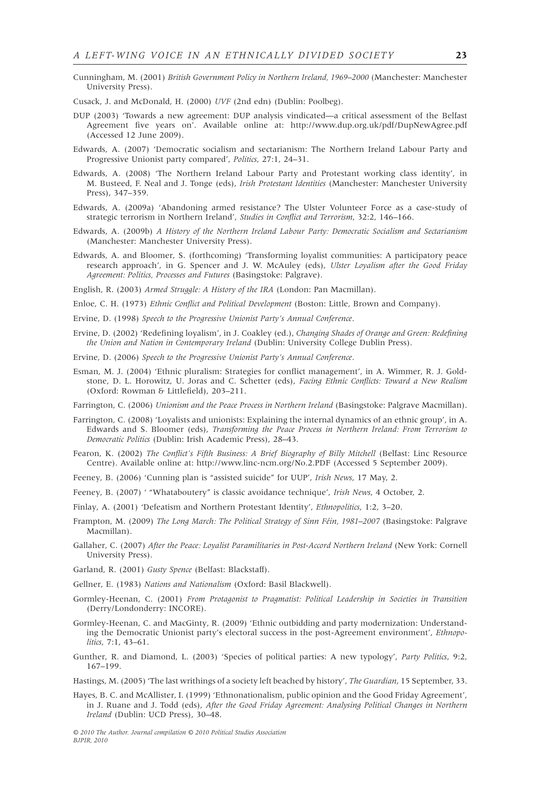Cunningham, M. (2001) *British Government Policy in Northern Ireland, 1969–2000* (Manchester: Manchester University Press).

Cusack, J. and McDonald, H. (2000) *UVF* (2nd edn) (Dublin: Poolbeg).

- DUP (2003) 'Towards a new agreement: DUP analysis vindicated—a critical assessment of the Belfast Agreement five years on'. Available online at: http://www.dup.org.uk/pdf/DupNewAgree.pdf (Accessed 12 June 2009).
- Edwards, A. (2007) 'Democratic socialism and sectarianism: The Northern Ireland Labour Party and Progressive Unionist party compared', *Politics*, 27:1, 24–31.
- Edwards, A. (2008) 'The Northern Ireland Labour Party and Protestant working class identity', in M. Busteed, F. Neal and J. Tonge (eds), *Irish Protestant Identities* (Manchester: Manchester University Press), 347–359.
- Edwards, A. (2009a) 'Abandoning armed resistance? The Ulster Volunteer Force as a case-study of strategic terrorism in Northern Ireland', *Studies in Conflict and Terrorism*, 32:2, 146–166.
- Edwards, A. (2009b) *A History of the Northern Ireland Labour Party: Democratic Socialism and Sectarianism* (Manchester: Manchester University Press).
- Edwards, A. and Bloomer, S. (forthcoming) 'Transforming loyalist communities: A participatory peace research approach', in G. Spencer and J. W. McAuley (eds), *Ulster Loyalism after the Good Friday Agreement: Politics, Processes and Futures* (Basingstoke: Palgrave).
- English, R. (2003) *Armed Struggle: A History of the IRA* (London: Pan Macmillan).
- Enloe, C. H. (1973) *Ethnic Conflict and Political Development* (Boston: Little, Brown and Company).
- Ervine, D. (1998) *Speech to the Progressive Unionist Party's Annual Conference*.
- Ervine, D. (2002) 'Redefining loyalism', in J. Coakley (ed.), *Changing Shades of Orange and Green: Redefining the Union and Nation in Contemporary Ireland* (Dublin: University College Dublin Press).
- Ervine, D. (2006) *Speech to the Progressive Unionist Party's Annual Conference*.
- Esman, M. J. (2004) 'Ethnic pluralism: Strategies for conflict management', in A. Wimmer, R. J. Goldstone, D. L. Horowitz, U. Joras and C. Schetter (eds), *Facing Ethnic Conflicts: Toward a New Realism* (Oxford: Rowman & Littlefield), 203–211.
- Farrington, C. (2006) *Unionism and the Peace Process in Northern Ireland* (Basingstoke: Palgrave Macmillan).
- Farrington, C. (2008) 'Loyalists and unionists: Explaining the internal dynamics of an ethnic group', in A. Edwards and S. Bloomer (eds), *Transforming the Peace Process in Northern Ireland: From Terrorism to Democratic Politics* (Dublin: Irish Academic Press), 28–43.
- Fearon, K. (2002) *The Conflict's Fifth Business: A Brief Biography of Billy Mitchell* (Belfast: Linc Resource Centre). Available online at: http://www.linc-ncm.org/No.2.PDF (Accessed 5 September 2009).
- Feeney, B. (2006) 'Cunning plan is "assisted suicide" for UUP', *Irish News*, 17 May, 2.
- Feeney, B. (2007) ' "Whataboutery" is classic avoidance technique', *Irish News*, 4 October, 2.
- Finlay, A. (2001) 'Defeatism and Northern Protestant Identity', *Ethnopolitics*, 1:2, 3–20.
- Frampton, M. (2009) *The Long March: The Political Strategy of Sinn Féin, 1981–2007* (Basingstoke: Palgrave Macmillan).
- Gallaher, C. (2007) *After the Peace: Loyalist Paramilitaries in Post-Accord Northern Ireland* (New York: Cornell University Press).
- Garland, R. (2001) *Gusty Spence* (Belfast: Blackstaff).
- Gellner, E. (1983) *Nations and Nationalism* (Oxford: Basil Blackwell).
- Gormley-Heenan, C. (2001) *From Protagonist to Pragmatist: Political Leadership in Societies in Transition* (Derry/Londonderry: INCORE).
- Gormley-Heenan, C. and MacGinty, R. (2009) 'Ethnic outbidding and party modernization: Understanding the Democratic Unionist party's electoral success in the post-Agreement environment', *Ethnopolitics*, 7:1, 43–61.
- Gunther, R. and Diamond, L. (2003) 'Species of political parties: A new typology', *Party Politics*, 9:2, 167–199.
- Hastings, M. (2005) 'The last writhings of a society left beached by history', *The Guardian*, 15 September, 33.
- Hayes, B. C. and McAllister, I. (1999) 'Ethnonationalism, public opinion and the Good Friday Agreement', in J. Ruane and J. Todd (eds), *After the Good Friday Agreement: Analysing Political Changes in Northern Ireland* (Dublin: UCD Press), 30–48.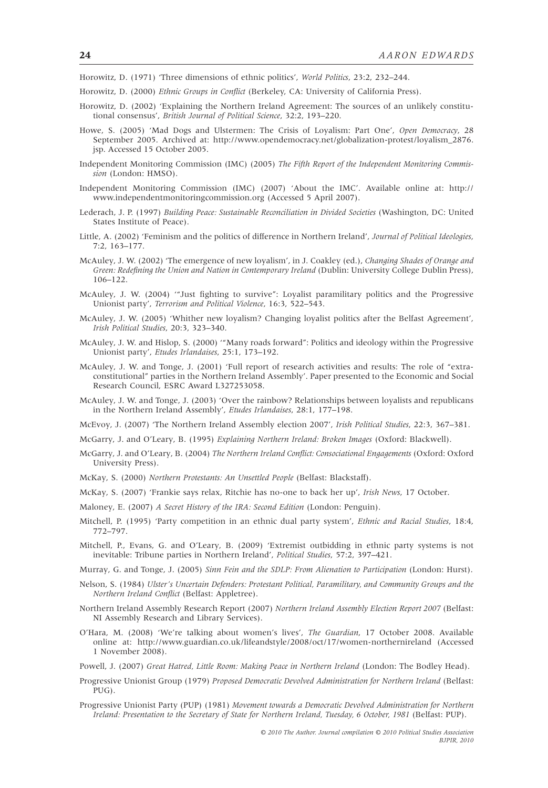Horowitz, D. (1971) 'Three dimensions of ethnic politics', *World Politics*, 23:2, 232–244.

- Horowitz, D. (2000) *Ethnic Groups in Conflict* (Berkeley, CA: University of California Press).
- Horowitz, D. (2002) 'Explaining the Northern Ireland Agreement: The sources of an unlikely constitutional consensus', *British Journal of Political Science*, 32:2, 193–220.
- Howe, S. (2005) 'Mad Dogs and Ulstermen: The Crisis of Loyalism: Part One', *Open Democracy*, 28 September 2005. Archived at: http://www.opendemocracy.net/globalization-protest/loyalism\_2876. jsp. Accessed 15 October 2005.
- Independent Monitoring Commission (IMC) (2005) *The Fifth Report of the Independent Monitoring Commission* (London: HMSO).
- Independent Monitoring Commission (IMC) (2007) 'About the IMC'. Available online at: http:// www.independentmonitoringcommission.org (Accessed 5 April 2007).
- Lederach, J. P. (1997) *Building Peace: Sustainable Reconciliation in Divided Societies* (Washington, DC: United States Institute of Peace).
- Little, A. (2002) 'Feminism and the politics of difference in Northern Ireland', *Journal of Political Ideologies*, 7:2, 163–177.
- McAuley, J. W. (2002) 'The emergence of new loyalism', in J. Coakley (ed.), *Changing Shades of Orange and Green: Redefining the Union and Nation in Contemporary Ireland* (Dublin: University College Dublin Press), 106–122.
- McAuley, J. W. (2004) '"Just fighting to survive": Loyalist paramilitary politics and the Progressive Unionist party', *Terrorism and Political Violence*, 16:3, 522–543.
- McAuley, J. W. (2005) 'Whither new loyalism? Changing loyalist politics after the Belfast Agreement', *Irish Political Studies*, 20:3, 323–340.
- McAuley, J. W. and Hislop, S. (2000) '"Many roads forward": Politics and ideology within the Progressive Unionist party', *Etudes Irlandaises*, 25:1, 173–192.
- McAuley, J. W. and Tonge, J. (2001) 'Full report of research activities and results: The role of "extraconstitutional" parties in the Northern Ireland Assembly'. Paper presented to the Economic and Social Research Council, ESRC Award L327253058.
- McAuley, J. W. and Tonge, J. (2003) 'Over the rainbow? Relationships between loyalists and republicans in the Northern Ireland Assembly', *Etudes Irlandaises*, 28:1, 177–198.
- McEvoy, J. (2007) 'The Northern Ireland Assembly election 2007', *Irish Political Studies*, 22:3, 367–381.
- McGarry, J. and O'Leary, B. (1995) *Explaining Northern Ireland: Broken Images* (Oxford: Blackwell).
- McGarry, J. and O'Leary, B. (2004) *The Northern Ireland Conflict: Consociational Engagements* (Oxford: Oxford University Press).
- McKay, S. (2000) *Northern Protestants: An Unsettled People* (Belfast: Blackstaff).
- McKay, S. (2007) 'Frankie says relax, Ritchie has no-one to back her up', *Irish News*, 17 October.
- Maloney, E. (2007) *A Secret History of the IRA: Second Edition* (London: Penguin).
- Mitchell, P. (1995) 'Party competition in an ethnic dual party system', *Ethnic and Racial Studies*, 18:4, 772–797.
- Mitchell, P., Evans, G. and O'Leary, B. (2009) 'Extremist outbidding in ethnic party systems is not inevitable: Tribune parties in Northern Ireland', *Political Studies*, 57:2, 397–421.
- Murray, G. and Tonge, J. (2005) *Sinn Fein and the SDLP: From Alienation to Participation* (London: Hurst).
- Nelson, S. (1984) *Ulster's Uncertain Defenders: Protestant Political, Paramilitary, and Community Groups and the Northern Ireland Conflict* (Belfast: Appletree).
- Northern Ireland Assembly Research Report (2007) *Northern Ireland Assembly Election Report 2007* (Belfast: NI Assembly Research and Library Services).
- O'Hara, M. (2008) 'We're talking about women's lives', *The Guardian*, 17 October 2008. Available online at: http://www.guardian.co.uk/lifeandstyle/2008/oct/17/women-northernireland (Accessed 1 November 2008).
- Powell, J. (2007) *Great Hatred, Little Room: Making Peace in Northern Ireland* (London: The Bodley Head).
- Progressive Unionist Group (1979) *Proposed Democratic Devolved Administration for Northern Ireland* (Belfast: PUG).
- Progressive Unionist Party (PUP) (1981) *Movement towards a Democratic Devolved Administration for Northern Ireland: Presentation to the Secretary of State for Northern Ireland, Tuesday, 6 October, 1981* (Belfast: PUP).